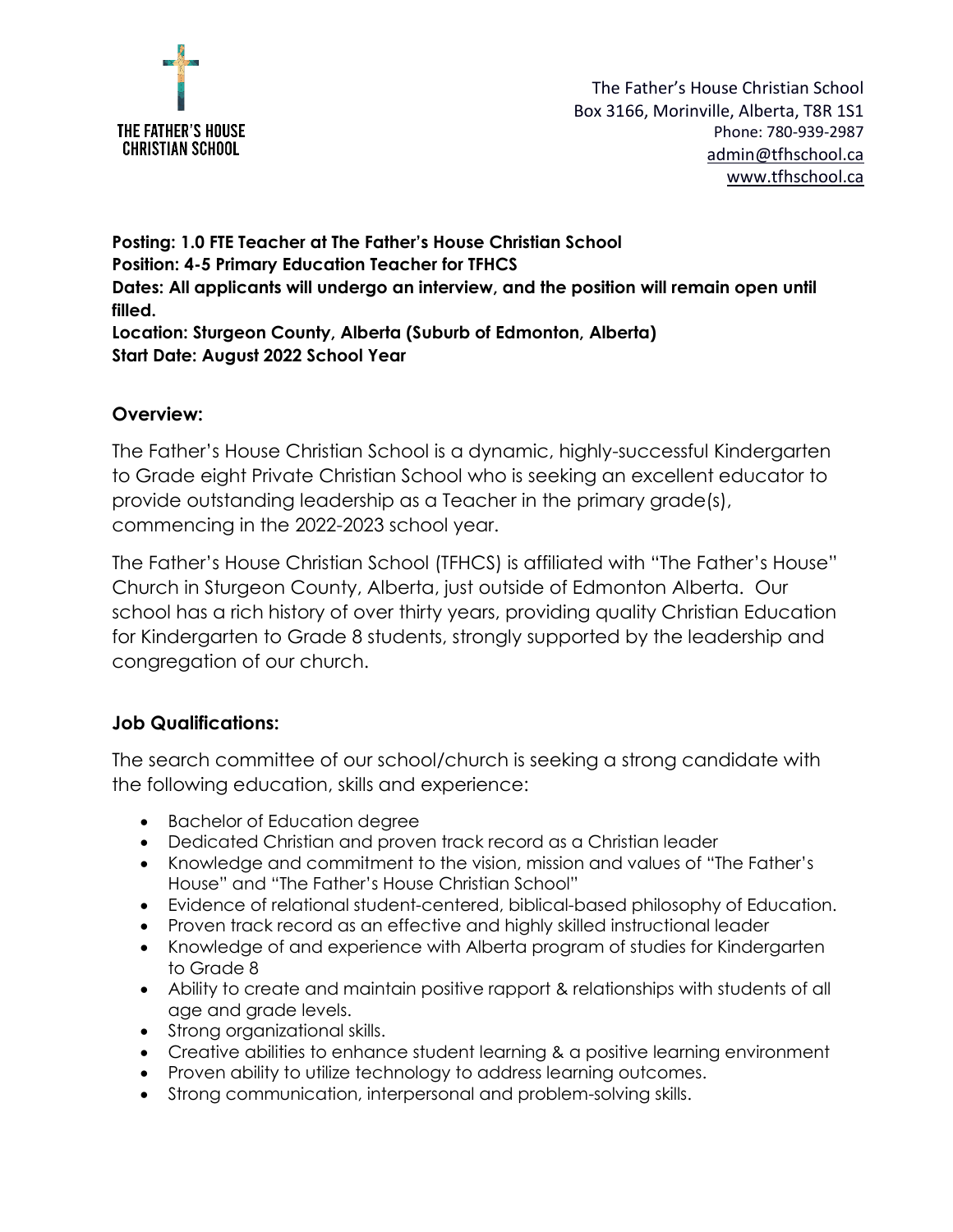

**Posting: 1.0 FTE Teacher at The Father's House Christian School Position: 4-5 Primary Education Teacher for TFHCS Dates: All applicants will undergo an interview, and the position will remain open until filled. Location: Sturgeon County, Alberta (Suburb of Edmonton, Alberta) Start Date: August 2022 School Year**

#### **Overview:**

The Father's House Christian School is a dynamic, highly-successful Kindergarten to Grade eight Private Christian School who is seeking an excellent educator to provide outstanding leadership as a Teacher in the primary grade(s), commencing in the 2022-2023 school year.

The Father's House Christian School (TFHCS) is affiliated with "The Father's House" Church in Sturgeon County, Alberta, just outside of Edmonton Alberta. Our school has a rich history of over thirty years, providing quality Christian Education for Kindergarten to Grade 8 students, strongly supported by the leadership and congregation of our church.

#### **Job Qualifications:**

The search committee of our school/church is seeking a strong candidate with the following education, skills and experience:

- Bachelor of Education degree
- Dedicated Christian and proven track record as a Christian leader
- Knowledge and commitment to the vision, mission and values of "The Father's House" and "The Father's House Christian School"
- Evidence of relational student-centered, biblical-based philosophy of Education.
- Proven track record as an effective and highly skilled instructional leader
- Knowledge of and experience with Alberta program of studies for Kindergarten to Grade 8
- Ability to create and maintain positive rapport & relationships with students of all age and grade levels.
- Strong organizational skills.
- Creative abilities to enhance student learning & a positive learning environment
- Proven ability to utilize technology to address learning outcomes.
- Strong communication, interpersonal and problem-solving skills.